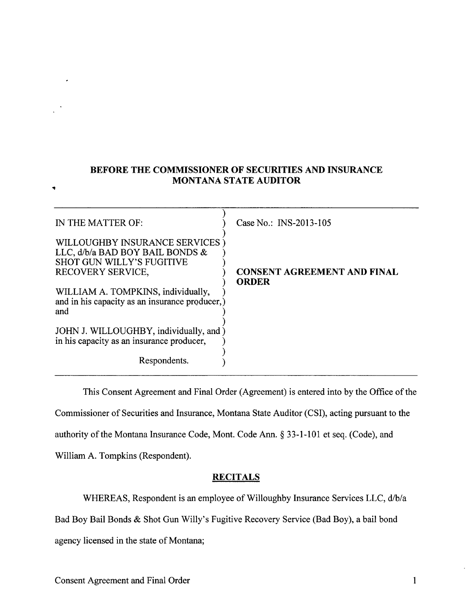# BEFORE THE COMMISSIONER OF SECURITIES AND INSURANCE MONTANA STATE AUDITOR

| IN THE MATTER OF:                                                                                                         | Case No.: INS-2013-105                             |
|---------------------------------------------------------------------------------------------------------------------------|----------------------------------------------------|
| WILLOUGHBY INSURANCE SERVICES<br>LLC, d/b/a BAD BOY BAIL BONDS &<br><b>SHOT GUN WILLY'S FUGITIVE</b><br>RECOVERY SERVICE, | <b>CONSENT AGREEMENT AND FINAL</b><br><b>ORDER</b> |
| WILLIAM A. TOMPKINS, individually,<br>and in his capacity as an insurance producer,)<br>and                               |                                                    |
| JOHN J. WILLOUGHBY, individually, and )<br>in his capacity as an insurance producer,                                      |                                                    |
| Respondents.                                                                                                              |                                                    |

This Consent Agreement and Final Order (Agreement) is entered into by the Offrce of the Commissioner of Securities and Insurance, Montana State Auditor (CSI), acting pursuant to the authority of the Montana Insurance Code, Mont. Code Ann. \$ 33-l-101 et seq. (Code), and William A. Tompkins (Respondent).

### **RECITALS**

WHEREAS, Respondent is an employee of Willoughby Insurance Services LLC, d/b/a

Bad Boy Bail Bonds & Shot Gun Willy's Fugitive Recovery Service (Bad Boy), a bail bond

agency licensed in the state of Montana;

4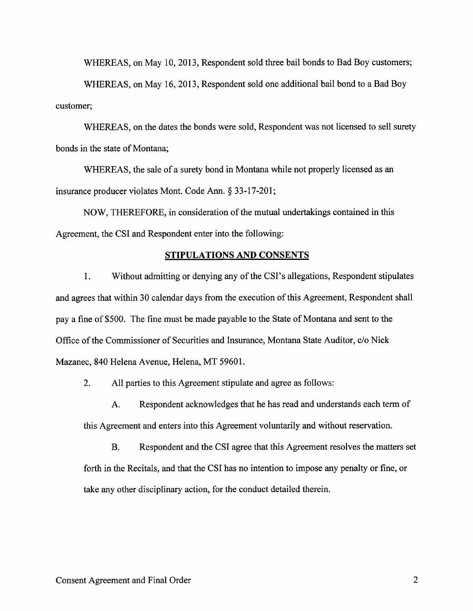WHEREAS, on May 10,2013, Respondent sold three bail bonds to Bad Boy customers;

WHEREAS, on May 16,2013, Respondent sold one additional bail bond to a Bad Boy customer;

WHEREAS, on the dates the bonds were sold, Respondent was not licensed to sell surety bonds in the state of Montana;

WHEREAS, the sale of a surety bond in Montana while not properly licensed as an insurance producer violates Mont. Code Ann. \$ 33-17-201;

NOW, THEREFORE, in consideration of the mutual undertakings contained in this Agreement, the CSI and Respondent enter into the following:

### STIPULATIONS AND CONSENTS

1. Without admitting or denying any of the CSI's allegations, Respondent stipulates and agrees that within 30 calendar days from the execution of this Agreement, Respondent shall pay a fine of \$500. The fine must be made payable to the State of Montana and sent to the Office of the Commissioner of Securities and Insurance, Montana State Auditor, c/o Nick Mazanec,840 Helena Avenue, Helena, MT 59601.

2. All parties to this Agreement stipulate and agree as follows:

A. Respondent acknowledges that he has read and understands each term of this Agreement and enters into this Agreement voluntarily and without reservation.

B. Respondent and the CSI agree that this Agreement resolves the matters set forth in the Recitals, and that the CSI has no intention to impose any penalty or fine, or take any other disciplinary action, for the conduct detailed therein.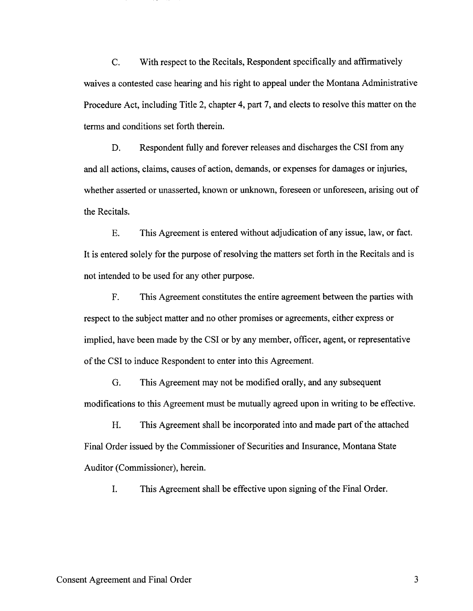C. With respect to the Recitals, Respondent specifically and affirmatively waives a contested case hearing and his right to appeal under the Montana Administrative Procedure Act, including Title 2, chapter 4, part 7, and elects to resolve this matter on the terms and conditions set forth therein.

D. Respondent fully and forever releases and discharges the CSI from any and all actions, claims, causes of action, demands, or expenses for damages or injuries, whether asserted or unasserted, known or unknown, foreseen or unforeseen, arising out of the Recitals.

E. This Agreement is entered without adjudication of any issue, law, or fact. It is entered solely for the purpose of resolving the matters set forth in the Recitals and is not intended to be used for any other purpose.

F. This Agreement constitutes the entire agreement between the parties with respect to the subject matter and no other promises or agreements, either express or implied, have been made by the CSI or by any member, officer, agent, or representative of the CSI to induce Respondent to enter into this Agreement.

G. This Agreement may not be modified orally, and any subsequent modifications to this Agreement must be mutually agreed upon in writing to be effective.

H. This Agreement shall be incorporated into and made part of the attached Final Order issued by the Commissioner of Securities and Insurance, Montana State Auditor (Commissioner), herein.

I. This Agreement shall be effective upon signing of the Final Order.

 $\overline{3}$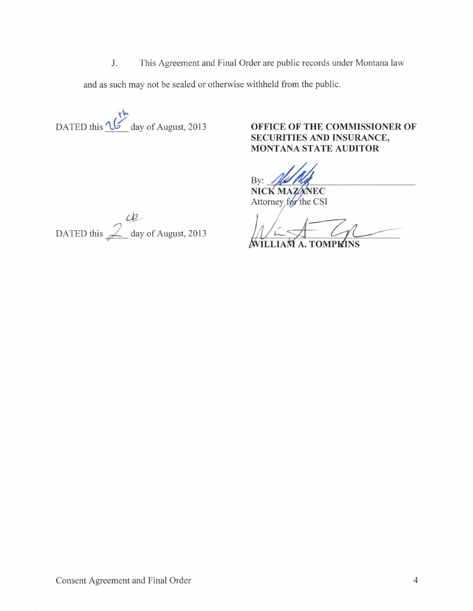This Agreement and Final Order are public records under Montana law J.

and as such may not be sealed or otherwise withheld from the public.

DATED this  $\sqrt{\frac{1}{2}}$  day of August, 2013

# OFFICE OF THE COMMISSIONER OF SECURITIES AND INSURANCE, **MONTANA STATE AUDITOR**

By:

NICK MAZANEC Attorney for the CSI

A. TOMP

DATED this  $\frac{2}{2}$  day of August, 2013

Consent Agreement and Final Order